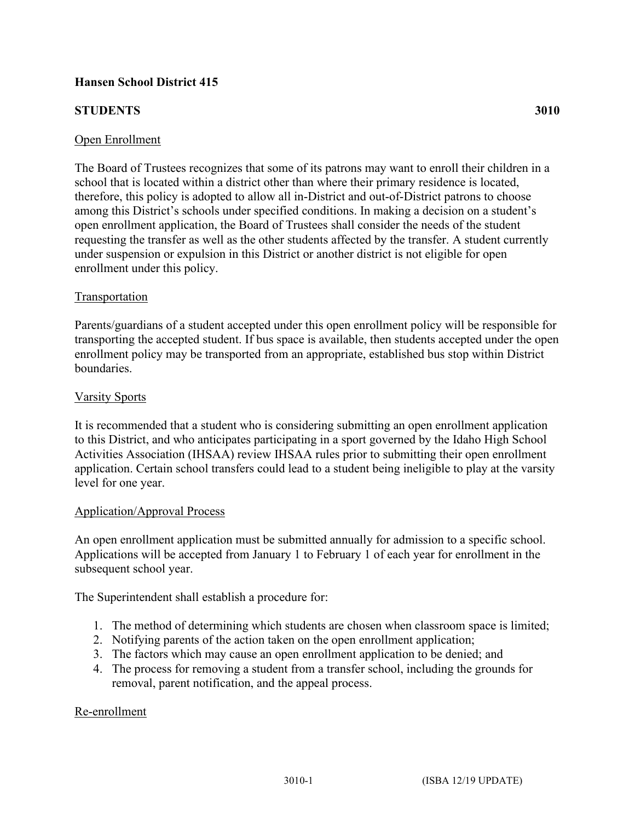# **Hansen School District 415**

# **STUDENTS 3010**

### Open Enrollment

The Board of Trustees recognizes that some of its patrons may want to enroll their children in a school that is located within a district other than where their primary residence is located, therefore, this policy is adopted to allow all in-District and out-of-District patrons to choose among this District's schools under specified conditions. In making a decision on a student's open enrollment application, the Board of Trustees shall consider the needs of the student requesting the transfer as well as the other students affected by the transfer. A student currently under suspension or expulsion in this District or another district is not eligible for open enrollment under this policy.

### Transportation

Parents/guardians of a student accepted under this open enrollment policy will be responsible for transporting the accepted student. If bus space is available, then students accepted under the open enrollment policy may be transported from an appropriate, established bus stop within District boundaries.

#### Varsity Sports

It is recommended that a student who is considering submitting an open enrollment application to this District, and who anticipates participating in a sport governed by the Idaho High School Activities Association (IHSAA) review IHSAA rules prior to submitting their open enrollment application. Certain school transfers could lead to a student being ineligible to play at the varsity level for one year.

#### Application/Approval Process

An open enrollment application must be submitted annually for admission to a specific school. Applications will be accepted from January 1 to February 1 of each year for enrollment in the subsequent school year.

The Superintendent shall establish a procedure for:

- 1. The method of determining which students are chosen when classroom space is limited;
- 2. Notifying parents of the action taken on the open enrollment application;
- 3. The factors which may cause an open enrollment application to be denied; and
- 4. The process for removing a student from a transfer school, including the grounds for removal, parent notification, and the appeal process.

### Re-enrollment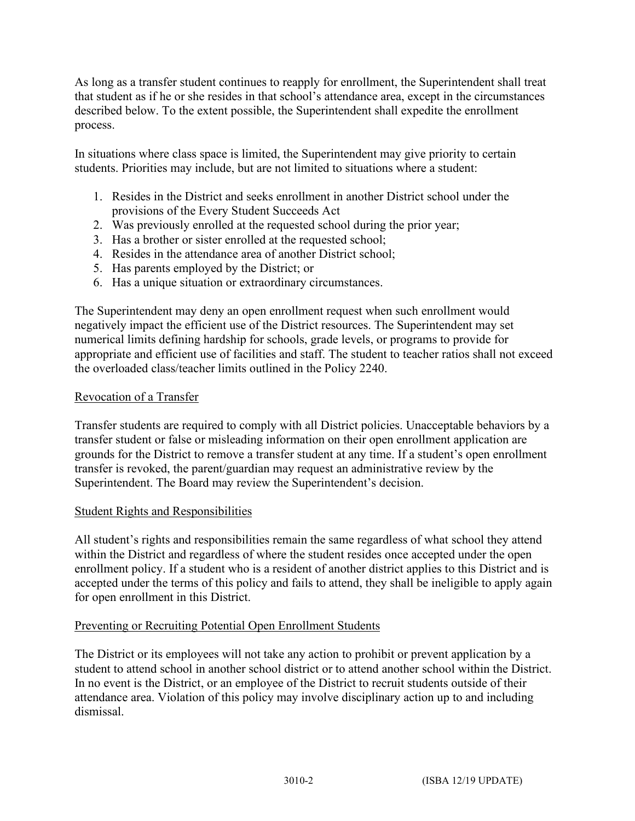As long as a transfer student continues to reapply for enrollment, the Superintendent shall treat that student as if he or she resides in that school's attendance area, except in the circumstances described below. To the extent possible, the Superintendent shall expedite the enrollment process.

In situations where class space is limited, the Superintendent may give priority to certain students. Priorities may include, but are not limited to situations where a student:

- 1. Resides in the District and seeks enrollment in another District school under the provisions of the Every Student Succeeds Act
- 2. Was previously enrolled at the requested school during the prior year;
- 3. Has a brother or sister enrolled at the requested school;
- 4. Resides in the attendance area of another District school;
- 5. Has parents employed by the District; or
- 6. Has a unique situation or extraordinary circumstances.

The Superintendent may deny an open enrollment request when such enrollment would negatively impact the efficient use of the District resources. The Superintendent may set numerical limits defining hardship for schools, grade levels, or programs to provide for appropriate and efficient use of facilities and staff. The student to teacher ratios shall not exceed the overloaded class/teacher limits outlined in the Policy 2240.

## Revocation of a Transfer

Transfer students are required to comply with all District policies. Unacceptable behaviors by a transfer student or false or misleading information on their open enrollment application are grounds for the District to remove a transfer student at any time. If a student's open enrollment transfer is revoked, the parent/guardian may request an administrative review by the Superintendent. The Board may review the Superintendent's decision.

# Student Rights and Responsibilities

All student's rights and responsibilities remain the same regardless of what school they attend within the District and regardless of where the student resides once accepted under the open enrollment policy. If a student who is a resident of another district applies to this District and is accepted under the terms of this policy and fails to attend, they shall be ineligible to apply again for open enrollment in this District.

### Preventing or Recruiting Potential Open Enrollment Students

The District or its employees will not take any action to prohibit or prevent application by a student to attend school in another school district or to attend another school within the District. In no event is the District, or an employee of the District to recruit students outside of their attendance area. Violation of this policy may involve disciplinary action up to and including dismissal.